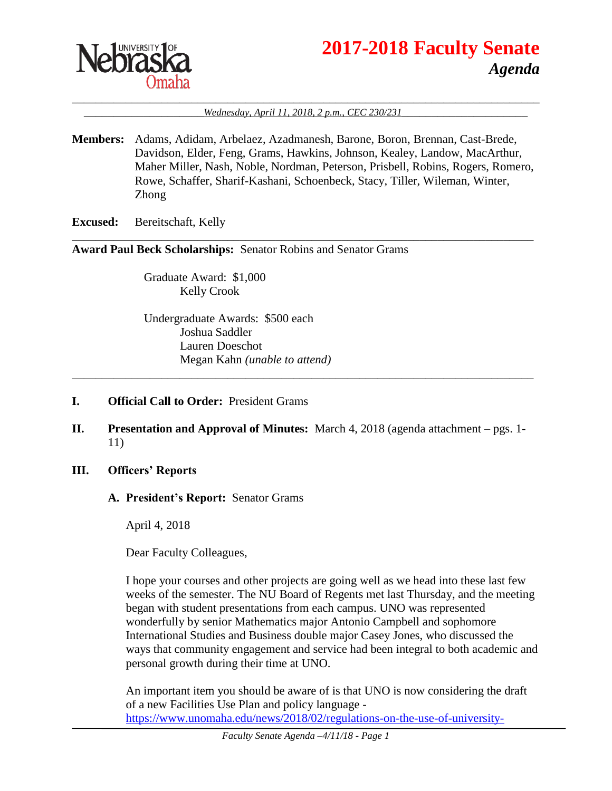

# **2017-2018 Faculty Senate** *Agenda*

#### \_\_\_\_\_\_\_\_\_\_\_\_\_\_\_\_\_\_\_\_\_\_\_\_\_\_\_\_\_\_\_\_\_\_\_\_\_\_\_\_\_\_\_\_\_\_\_\_\_\_\_\_\_\_\_\_\_\_\_\_\_\_\_\_\_\_\_\_\_\_\_\_\_\_\_\_\_\_ \_\_\_\_\_\_\_\_\_\_\_\_\_\_\_\_\_\_\_\_*Wednesday, April 11, 2018, 2 p.m., CEC 230/231*\_\_\_\_\_\_\_\_\_\_\_\_\_\_\_\_\_\_\_\_\_

**Members:** Adams, Adidam, Arbelaez, Azadmanesh, Barone, Boron, Brennan, Cast-Brede, Davidson, Elder, Feng, Grams, Hawkins, Johnson, Kealey, Landow, MacArthur, Maher Miller, Nash, Noble, Nordman, Peterson, Prisbell, Robins, Rogers, Romero, Rowe, Schaffer, Sharif-Kashani, Schoenbeck, Stacy, Tiller, Wileman, Winter, Zhong

\_\_\_\_\_\_\_\_\_\_\_\_\_\_\_\_\_\_\_\_\_\_\_\_\_\_\_\_\_\_\_\_\_\_\_\_\_\_\_\_\_\_\_\_\_\_\_\_\_\_\_\_\_\_\_\_\_\_\_\_\_\_\_\_\_\_\_\_\_\_\_\_\_\_\_\_\_

**Excused:** Bereitschaft, Kelly

**Award Paul Beck Scholarships:** Senator Robins and Senator Grams

Graduate Award: \$1,000 Kelly Crook

Undergraduate Awards: \$500 each Joshua Saddler Lauren Doeschot Megan Kahn *(unable to attend)*

- **I. Official Call to Order:** President Grams
- **II. Presentation and Approval of Minutes:** March 4, 2018 (agenda attachment pgs. 1- 11)

\_\_\_\_\_\_\_\_\_\_\_\_\_\_\_\_\_\_\_\_\_\_\_\_\_\_\_\_\_\_\_\_\_\_\_\_\_\_\_\_\_\_\_\_\_\_\_\_\_\_\_\_\_\_\_\_\_\_\_\_\_\_\_\_\_\_\_\_\_\_\_\_\_\_\_\_\_

- **III. Officers' Reports**
	- **A. President's Report:** Senator Grams

April 4, 2018

Dear Faculty Colleagues,

I hope your courses and other projects are going well as we head into these last few weeks of the semester. The NU Board of Regents met last Thursday, and the meeting began with student presentations from each campus. UNO was represented wonderfully by senior Mathematics major Antonio Campbell and sophomore International Studies and Business double major Casey Jones, who discussed the ways that community engagement and service had been integral to both academic and personal growth during their time at UNO.

An important item you should be aware of is that UNO is now considering the draft of a new Facilities Use Plan and policy language [https://www.unomaha.edu/news/2018/02/regulations-on-the-use-of-university-](https://www.unomaha.edu/news/2018/02/regulations-on-the-use-of-university-facilities-and-grounds.php)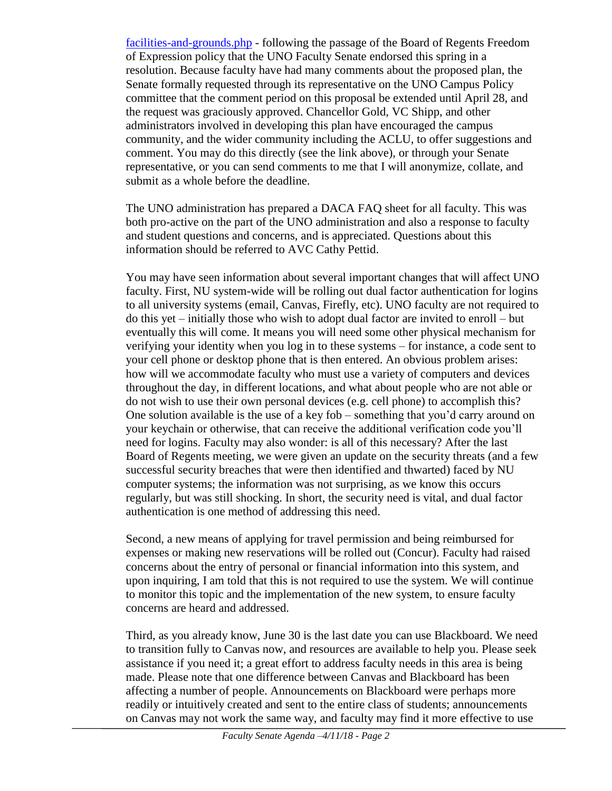[facilities-and-grounds.php](https://www.unomaha.edu/news/2018/02/regulations-on-the-use-of-university-facilities-and-grounds.php) - following the passage of the Board of Regents Freedom of Expression policy that the UNO Faculty Senate endorsed this spring in a resolution. Because faculty have had many comments about the proposed plan, the Senate formally requested through its representative on the UNO Campus Policy committee that the comment period on this proposal be extended until April 28, and the request was graciously approved. Chancellor Gold, VC Shipp, and other administrators involved in developing this plan have encouraged the campus community, and the wider community including the ACLU, to offer suggestions and comment. You may do this directly (see the link above), or through your Senate representative, or you can send comments to me that I will anonymize, collate, and submit as a whole before the deadline.

The UNO administration has prepared a DACA FAQ sheet for all faculty. This was both pro-active on the part of the UNO administration and also a response to faculty and student questions and concerns, and is appreciated. Questions about this information should be referred to AVC Cathy Pettid.

You may have seen information about several important changes that will affect UNO faculty. First, NU system-wide will be rolling out dual factor authentication for logins to all university systems (email, Canvas, Firefly, etc). UNO faculty are not required to do this yet – initially those who wish to adopt dual factor are invited to enroll – but eventually this will come. It means you will need some other physical mechanism for verifying your identity when you log in to these systems – for instance, a code sent to your cell phone or desktop phone that is then entered. An obvious problem arises: how will we accommodate faculty who must use a variety of computers and devices throughout the day, in different locations, and what about people who are not able or do not wish to use their own personal devices (e.g. cell phone) to accomplish this? One solution available is the use of a key fob – something that you'd carry around on your keychain or otherwise, that can receive the additional verification code you'll need for logins. Faculty may also wonder: is all of this necessary? After the last Board of Regents meeting, we were given an update on the security threats (and a few successful security breaches that were then identified and thwarted) faced by NU computer systems; the information was not surprising, as we know this occurs regularly, but was still shocking. In short, the security need is vital, and dual factor authentication is one method of addressing this need.

Second, a new means of applying for travel permission and being reimbursed for expenses or making new reservations will be rolled out (Concur). Faculty had raised concerns about the entry of personal or financial information into this system, and upon inquiring, I am told that this is not required to use the system. We will continue to monitor this topic and the implementation of the new system, to ensure faculty concerns are heard and addressed.

Third, as you already know, June 30 is the last date you can use Blackboard. We need to transition fully to Canvas now, and resources are available to help you. Please seek assistance if you need it; a great effort to address faculty needs in this area is being made. Please note that one difference between Canvas and Blackboard has been affecting a number of people. Announcements on Blackboard were perhaps more readily or intuitively created and sent to the entire class of students; announcements on Canvas may not work the same way, and faculty may find it more effective to use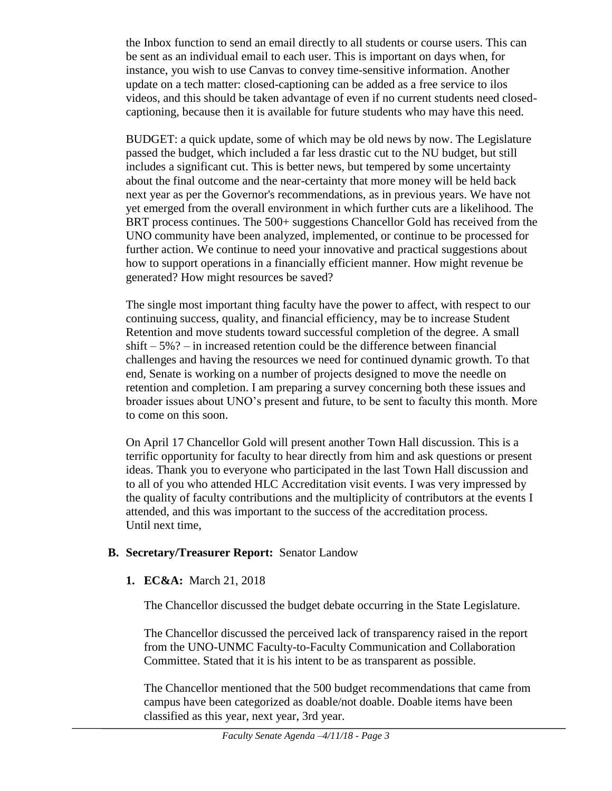the Inbox function to send an email directly to all students or course users. This can be sent as an individual email to each user. This is important on days when, for instance, you wish to use Canvas to convey time-sensitive information. Another update on a tech matter: closed-captioning can be added as a free service to ilos videos, and this should be taken advantage of even if no current students need closedcaptioning, because then it is available for future students who may have this need.

BUDGET: a quick update, some of which may be old news by now. The Legislature passed the budget, which included a far less drastic cut to the NU budget, but still includes a significant cut. This is better news, but tempered by some uncertainty about the final outcome and the near-certainty that more money will be held back next year as per the Governor's recommendations, as in previous years. We have not yet emerged from the overall environment in which further cuts are a likelihood. The BRT process continues. The 500+ suggestions Chancellor Gold has received from the UNO community have been analyzed, implemented, or continue to be processed for further action. We continue to need your innovative and practical suggestions about how to support operations in a financially efficient manner. How might revenue be generated? How might resources be saved?

The single most important thing faculty have the power to affect, with respect to our continuing success, quality, and financial efficiency, may be to increase Student Retention and move students toward successful completion of the degree. A small  $shift - 5\%$ ? – in increased retention could be the difference between financial challenges and having the resources we need for continued dynamic growth. To that end, Senate is working on a number of projects designed to move the needle on retention and completion. I am preparing a survey concerning both these issues and broader issues about UNO's present and future, to be sent to faculty this month. More to come on this soon.

On April 17 Chancellor Gold will present another Town Hall discussion. This is a terrific opportunity for faculty to hear directly from him and ask questions or present ideas. Thank you to everyone who participated in the last Town Hall discussion and to all of you who attended HLC Accreditation visit events. I was very impressed by the quality of faculty contributions and the multiplicity of contributors at the events I attended, and this was important to the success of the accreditation process. Until next time,

#### **B. Secretary/Treasurer Report:** Senator Landow

**1. EC&A:** March 21, 2018

The Chancellor discussed the budget debate occurring in the State Legislature.

The Chancellor discussed the perceived lack of transparency raised in the report from the UNO-UNMC Faculty-to-Faculty Communication and Collaboration Committee. Stated that it is his intent to be as transparent as possible.

The Chancellor mentioned that the 500 budget recommendations that came from campus have been categorized as doable/not doable. Doable items have been classified as this year, next year, 3rd year.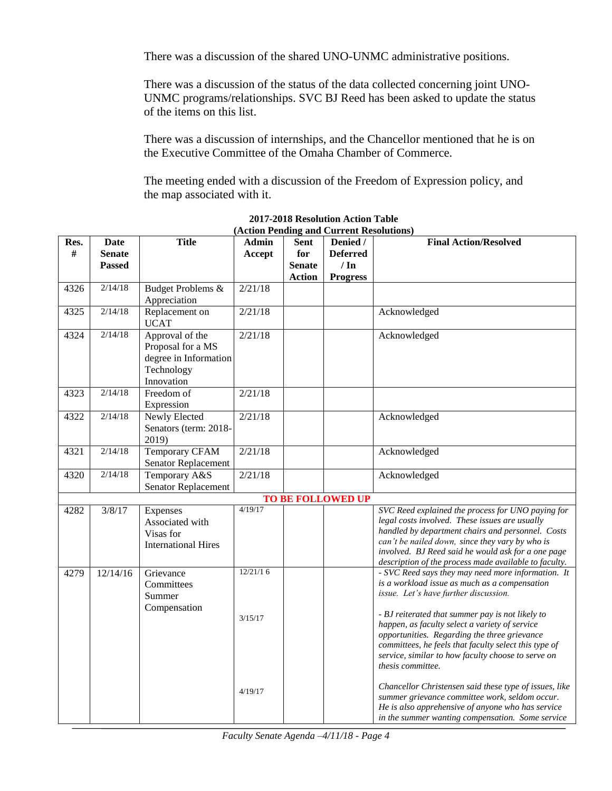There was a discussion of the shared UNO-UNMC administrative positions.

There was a discussion of the status of the data collected concerning joint UNO-UNMC programs/relationships. SVC BJ Reed has been asked to update the status of the items on this list.

There was a discussion of internships, and the Chancellor mentioned that he is on the Executive Committee of the Omaha Chamber of Commerce.

The meeting ended with a discussion of the Freedom of Expression policy, and the map associated with it.

|           |                                        |                                                                                           |                 |                                               | (Action Fending and Current Resolutions)               |                                                                                                                                                                                                                                                                                                                            |
|-----------|----------------------------------------|-------------------------------------------------------------------------------------------|-----------------|-----------------------------------------------|--------------------------------------------------------|----------------------------------------------------------------------------------------------------------------------------------------------------------------------------------------------------------------------------------------------------------------------------------------------------------------------------|
| Res.<br># | Date<br><b>Senate</b><br><b>Passed</b> | <b>Title</b>                                                                              | Admin<br>Accept | Sent<br>for<br><b>Senate</b><br><b>Action</b> | Denied /<br><b>Deferred</b><br>/ In<br><b>Progress</b> | <b>Final Action/Resolved</b>                                                                                                                                                                                                                                                                                               |
| 4326      | 2/14/18                                | Budget Problems &<br>Appreciation                                                         | 2/21/18         |                                               |                                                        |                                                                                                                                                                                                                                                                                                                            |
| 4325      | 2/14/18                                | Replacement on<br><b>UCAT</b>                                                             | 2/21/18         |                                               |                                                        | Acknowledged                                                                                                                                                                                                                                                                                                               |
| 4324      | 2/14/18                                | Approval of the<br>Proposal for a MS<br>degree in Information<br>Technology<br>Innovation | 2/21/18         |                                               |                                                        | Acknowledged                                                                                                                                                                                                                                                                                                               |
| 4323      | 2/14/18                                | Freedom of<br>Expression                                                                  | 2/21/18         |                                               |                                                        |                                                                                                                                                                                                                                                                                                                            |
| 4322      | 2/14/18                                | Newly Elected<br>Senators (term: 2018-<br>2019)                                           | 2/21/18         |                                               |                                                        | Acknowledged                                                                                                                                                                                                                                                                                                               |
| 4321      | 2/14/18                                | <b>Temporary CFAM</b><br>Senator Replacement                                              | 2/21/18         |                                               |                                                        | Acknowledged                                                                                                                                                                                                                                                                                                               |
| 4320      | 2/14/18                                | Temporary A&S<br>Senator Replacement                                                      | 2/21/18         |                                               |                                                        | Acknowledged                                                                                                                                                                                                                                                                                                               |
|           |                                        |                                                                                           |                 |                                               | <b>TO BE FOLLOWED UP</b>                               |                                                                                                                                                                                                                                                                                                                            |
| 4282      | 3/8/17                                 | Expenses<br>Associated with<br>Visas for<br><b>International Hires</b>                    | 4/19/17         |                                               |                                                        | SVC Reed explained the process for UNO paying for<br>legal costs involved. These issues are usually<br>handled by department chairs and personnel. Costs<br>can't be nailed down, since they vary by who is<br>involved. BJ Reed said he would ask for a one page<br>description of the process made available to faculty. |
| 4279      | 12/14/16                               | Grievance<br>Committees<br>Summer<br>Compensation                                         | 12/21/16        |                                               |                                                        | - SVC Reed says they may need more information. It<br>is a workload issue as much as a compensation<br>issue. Let's have further discussion.                                                                                                                                                                               |
|           |                                        |                                                                                           | 3/15/17         |                                               |                                                        | - BJ reiterated that summer pay is not likely to<br>happen, as faculty select a variety of service<br>opportunities. Regarding the three grievance<br>committees, he feels that faculty select this type of<br>service, similar to how faculty choose to serve on<br>thesis committee.                                     |
|           |                                        |                                                                                           | 4/19/17         |                                               |                                                        | Chancellor Christensen said these type of issues, like<br>summer grievance committee work, seldom occur.<br>He is also apprehensive of anyone who has service<br>in the summer wanting compensation. Some service                                                                                                          |

#### **2017-2018 Resolution Action Table (Action Pending and Current Resolutions)**

*Faculty Senate Agenda –4/11/18 - Page 4*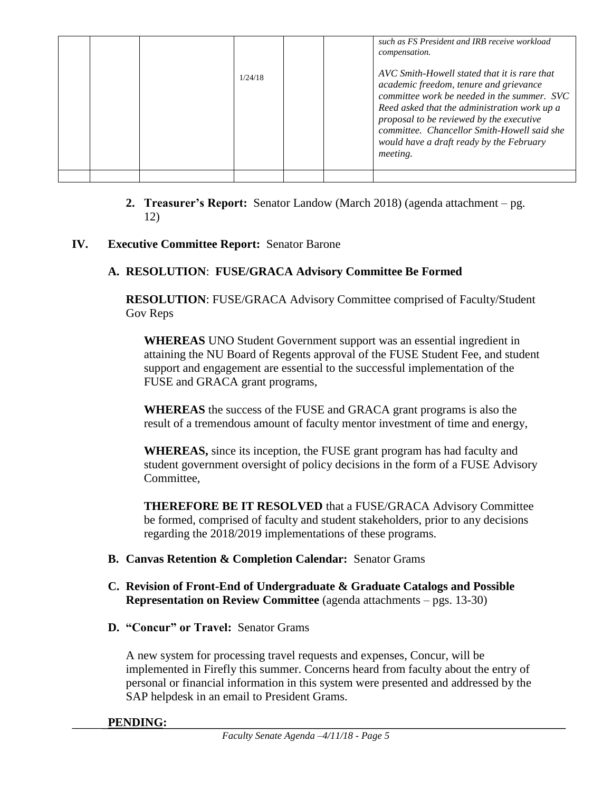|  | 1/24/18 |  | such as FS President and IRB receive workload<br><i>compensation.</i><br>AVC Smith-Howell stated that it is rare that<br>academic freedom, tenure and grievance<br>committee work be needed in the summer. SVC<br>Reed asked that the administration work up a<br>proposal to be reviewed by the executive<br>committee. Chancellor Smith-Howell said she<br>would have a draft ready by the February<br><i>meeting.</i> |
|--|---------|--|--------------------------------------------------------------------------------------------------------------------------------------------------------------------------------------------------------------------------------------------------------------------------------------------------------------------------------------------------------------------------------------------------------------------------|
|  |         |  |                                                                                                                                                                                                                                                                                                                                                                                                                          |

**2. Treasurer's Report:** Senator Landow (March 2018) (agenda attachment – pg. 12)

#### **IV. Executive Committee Report:** Senator Barone

#### **A. RESOLUTION**: **FUSE/GRACA Advisory Committee Be Formed**

**RESOLUTION**: FUSE/GRACA Advisory Committee comprised of Faculty/Student Gov Reps

**WHEREAS** UNO Student Government support was an essential ingredient in attaining the NU Board of Regents approval of the FUSE Student Fee, and student support and engagement are essential to the successful implementation of the FUSE and GRACA grant programs,

**WHEREAS** the success of the FUSE and GRACA grant programs is also the result of a tremendous amount of faculty mentor investment of time and energy,

**WHEREAS,** since its inception, the FUSE grant program has had faculty and student government oversight of policy decisions in the form of a FUSE Advisory Committee,

**THEREFORE BE IT RESOLVED** that a FUSE/GRACA Advisory Committee be formed, comprised of faculty and student stakeholders, prior to any decisions regarding the 2018/2019 implementations of these programs.

#### **B. Canvas Retention & Completion Calendar:** Senator Grams

- **C. Revision of Front-End of Undergraduate & Graduate Catalogs and Possible Representation on Review Committee** (agenda attachments – pgs. 13-30)
- **D. "Concur" or Travel:** Senator Grams

A new system for processing travel requests and expenses, Concur, will be implemented in Firefly this summer. Concerns heard from faculty about the entry of personal or financial information in this system were presented and addressed by the SAP helpdesk in an email to President Grams.

#### **PENDING:**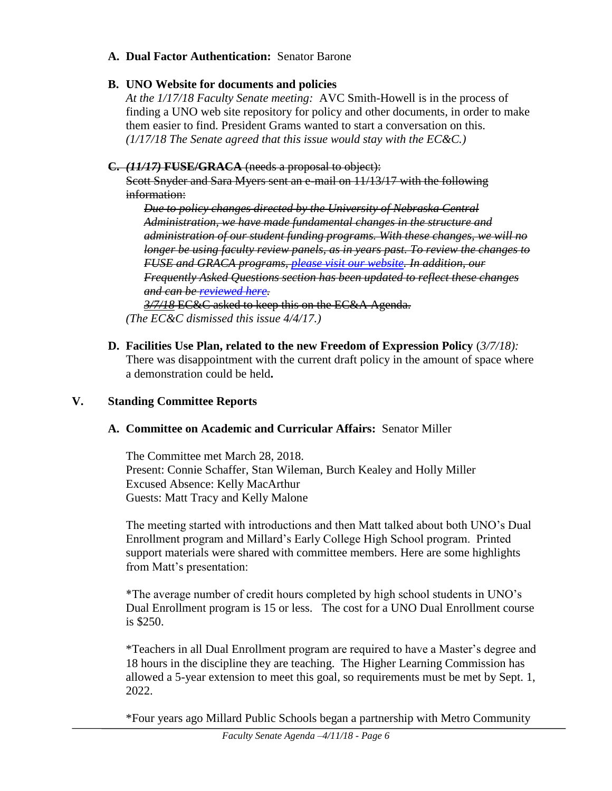#### **A. Dual Factor Authentication:** Senator Barone

# **B. UNO Website for documents and policies**

*At the 1/17/18 Faculty Senate meeting:* AVC Smith-Howell is in the process of finding a UNO web site repository for policy and other documents, in order to make them easier to find. President Grams wanted to start a conversation on this. *(1/17/18 The Senate agreed that this issue would stay with the EC&C.)*

# **C.** *(11/17)* **FUSE/GRACA** (needs a proposal to object):

Scott Snyder and Sara Myers sent an e-mail on 11/13/17 with the following information:

*Due to policy changes directed by the University of Nebraska Central Administration, we have made fundamental changes in the structure and administration of our student funding programs. With these changes, we will no longer be using faculty review panels, as in years past. To review the changes to FUSE and GRACA programs, [please visit our website.](https://www.unomaha.edu/office-of-research-and-creative-activity/students/Changes-to-Student-Funding-Programs-2017_SM.pdf) In addition, our Frequently Asked Questions section has been updated to reflect these changes and can be [reviewed here.](https://www.unomaha.edu/office-of-research-and-creative-activity/students/fuse-faq.php)* 

*3/7/18* EC&C asked to keep this on the EC&A Agenda. *(The EC&C dismissed this issue 4/4/17.)*

**D. Facilities Use Plan, related to the new Freedom of Expression Policy** (*3/7/18):* There was disappointment with the current draft policy in the amount of space where a demonstration could be held**.** 

# **V. Standing Committee Reports**

# **A. Committee on Academic and Curricular Affairs:** Senator Miller

The Committee met March 28, 2018. Present: Connie Schaffer, Stan Wileman, Burch Kealey and Holly Miller Excused Absence: Kelly MacArthur Guests: Matt Tracy and Kelly Malone

The meeting started with introductions and then Matt talked about both UNO's Dual Enrollment program and Millard's Early College High School program. Printed support materials were shared with committee members. Here are some highlights from Matt's presentation:

\*The average number of credit hours completed by high school students in UNO's Dual Enrollment program is 15 or less. The cost for a UNO Dual Enrollment course is \$250.

\*Teachers in all Dual Enrollment program are required to have a Master's degree and 18 hours in the discipline they are teaching. The Higher Learning Commission has allowed a 5-year extension to meet this goal, so requirements must be met by Sept. 1, 2022.

\*Four years ago Millard Public Schools began a partnership with Metro Community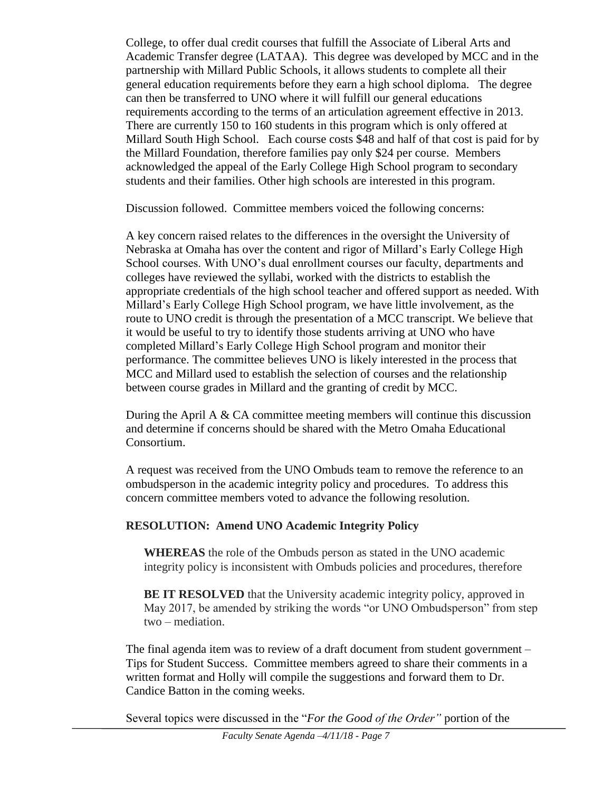College, to offer dual credit courses that fulfill the Associate of Liberal Arts and Academic Transfer degree (LATAA). This degree was developed by MCC and in the partnership with Millard Public Schools, it allows students to complete all their general education requirements before they earn a high school diploma. The degree can then be transferred to UNO where it will fulfill our general educations requirements according to the terms of an articulation agreement effective in 2013. There are currently 150 to 160 students in this program which is only offered at Millard South High School. Each course costs \$48 and half of that cost is paid for by the Millard Foundation, therefore families pay only \$24 per course. Members acknowledged the appeal of the Early College High School program to secondary students and their families. Other high schools are interested in this program.

Discussion followed. Committee members voiced the following concerns:

A key concern raised relates to the differences in the oversight the University of Nebraska at Omaha has over the content and rigor of Millard's Early College High School courses. With UNO's dual enrollment courses our faculty, departments and colleges have reviewed the syllabi, worked with the districts to establish the appropriate credentials of the high school teacher and offered support as needed. With Millard's Early College High School program, we have little involvement, as the route to UNO credit is through the presentation of a MCC transcript. We believe that it would be useful to try to identify those students arriving at UNO who have completed Millard's Early College High School program and monitor their performance. The committee believes UNO is likely interested in the process that MCC and Millard used to establish the selection of courses and the relationship between course grades in Millard and the granting of credit by MCC.

During the April A & CA committee meeting members will continue this discussion and determine if concerns should be shared with the Metro Omaha Educational Consortium.

A request was received from the UNO Ombuds team to remove the reference to an ombudsperson in the academic integrity policy and procedures. To address this concern committee members voted to advance the following resolution.

# **RESOLUTION: Amend UNO Academic Integrity Policy**

**WHEREAS** the role of the Ombuds person as stated in the UNO academic integrity policy is inconsistent with Ombuds policies and procedures, therefore

**BE IT RESOLVED** that the University academic integrity policy, approved in May 2017, be amended by striking the words "or UNO Ombudsperson" from step two – mediation.

The final agenda item was to review of a draft document from student government – Tips for Student Success. Committee members agreed to share their comments in a written format and Holly will compile the suggestions and forward them to Dr. Candice Batton in the coming weeks.

Several topics were discussed in the "*For the Good of the Order"* portion of the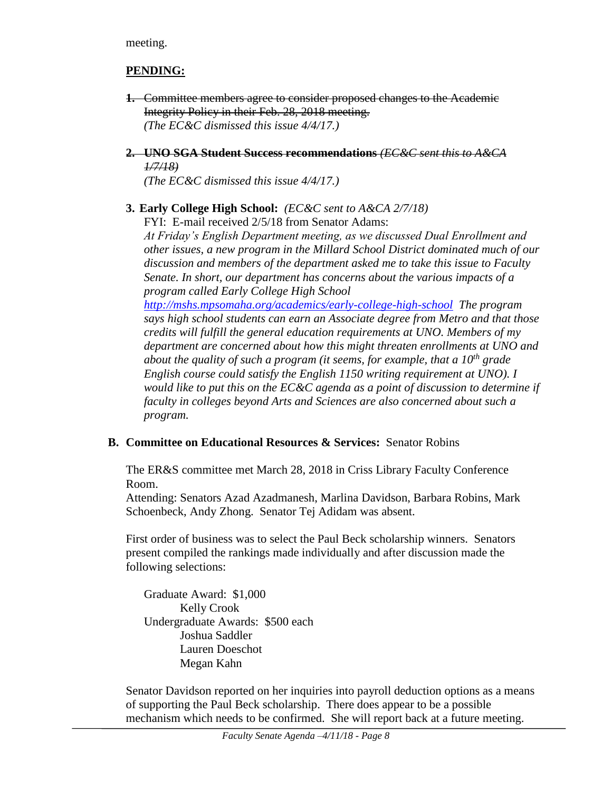meeting.

# **PENDING:**

- **1.** Committee members agree to consider proposed changes to the Academic Integrity Policy in their Feb. 28, 2018 meeting. *(The EC&C dismissed this issue 4/4/17.)*
- **2. UNO SGA Student Success recommendations** *(EC&C sent this to A&CA 1/7/18)*

*(The EC&C dismissed this issue 4/4/17.)*

# **3. Early College High School:** *(EC&C sent to A&CA 2/7/18)*

FYI: E-mail received 2/5/18 from Senator Adams:

*At Friday's English Department meeting, as we discussed Dual Enrollment and other issues, a new program in the Millard School District dominated much of our discussion and members of the department asked me to take this issue to Faculty Senate. In short, our department has concerns about the various impacts of a program called Early College High School* 

*<http://mshs.mpsomaha.org/academics/early-college-high-school> The program says high school students can earn an Associate degree from Metro and that those credits will fulfill the general education requirements at UNO. Members of my department are concerned about how this might threaten enrollments at UNO and about the quality of such a program (it seems, for example, that a 10th grade English course could satisfy the English 1150 writing requirement at UNO). I would like to put this on the EC&C agenda as a point of discussion to determine if faculty in colleges beyond Arts and Sciences are also concerned about such a program.*

# **B. Committee on Educational Resources & Services:** Senator Robins

The ER&S committee met March 28, 2018 in Criss Library Faculty Conference Room.

Attending: Senators Azad Azadmanesh, Marlina Davidson, Barbara Robins, Mark Schoenbeck, Andy Zhong. Senator Tej Adidam was absent.

First order of business was to select the Paul Beck scholarship winners. Senators present compiled the rankings made individually and after discussion made the following selections:

Graduate Award: \$1,000 Kelly Crook Undergraduate Awards: \$500 each Joshua Saddler Lauren Doeschot Megan Kahn

Senator Davidson reported on her inquiries into payroll deduction options as a means of supporting the Paul Beck scholarship. There does appear to be a possible mechanism which needs to be confirmed. She will report back at a future meeting.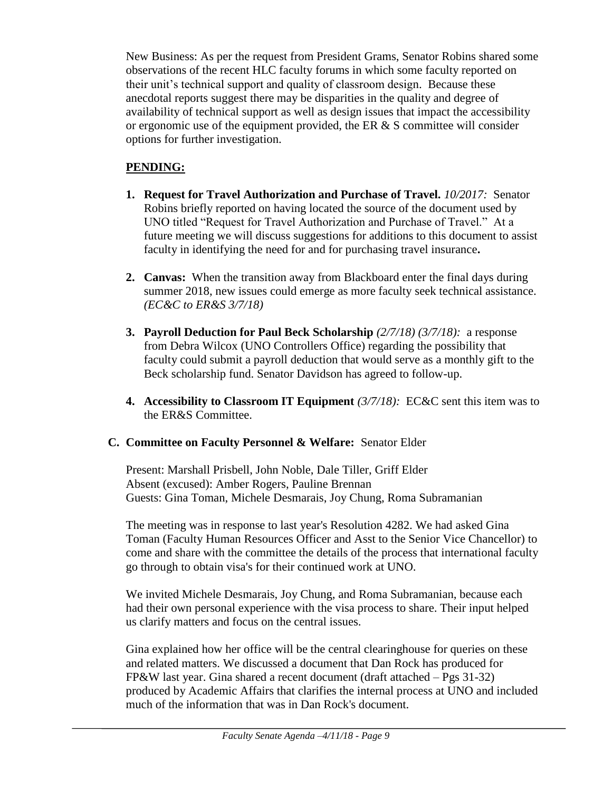New Business: As per the request from President Grams, Senator Robins shared some observations of the recent HLC faculty forums in which some faculty reported on their unit's technical support and quality of classroom design. Because these anecdotal reports suggest there may be disparities in the quality and degree of availability of technical support as well as design issues that impact the accessibility or ergonomic use of the equipment provided, the ER  $\&$  S committee will consider options for further investigation.

# **PENDING:**

- **1. Request for Travel Authorization and Purchase of Travel.** *10/2017:* Senator Robins briefly reported on having located the source of the document used by UNO titled "Request for Travel Authorization and Purchase of Travel." At a future meeting we will discuss suggestions for additions to this document to assist faculty in identifying the need for and for purchasing travel insurance**.**
- **2. Canvas:** When the transition away from Blackboard enter the final days during summer 2018, new issues could emerge as more faculty seek technical assistance. *(EC&C to ER&S 3/7/18)*
- **3. Payroll Deduction for Paul Beck Scholarship** *(2/7/18) (3/7/18):* a response from Debra Wilcox (UNO Controllers Office) regarding the possibility that faculty could submit a payroll deduction that would serve as a monthly gift to the Beck scholarship fund. Senator Davidson has agreed to follow-up.
- **4. Accessibility to Classroom IT Equipment** *(3/7/18):* EC&C sent this item was to the ER&S Committee.

# **C. Committee on Faculty Personnel & Welfare:** Senator Elder

Present: Marshall Prisbell, John Noble, Dale Tiller, Griff Elder Absent (excused): Amber Rogers, Pauline Brennan Guests: Gina Toman, Michele Desmarais, Joy Chung, Roma Subramanian

The meeting was in response to last year's Resolution 4282. We had asked Gina Toman (Faculty Human Resources Officer and Asst to the Senior Vice Chancellor) to come and share with the committee the details of the process that international faculty go through to obtain visa's for their continued work at UNO.

We invited Michele Desmarais, Joy Chung, and Roma Subramanian, because each had their own personal experience with the visa process to share. Their input helped us clarify matters and focus on the central issues.

Gina explained how her office will be the central clearinghouse for queries on these and related matters. We discussed a document that Dan Rock has produced for FP&W last year. Gina shared a recent document (draft attached – Pgs 31-32) produced by Academic Affairs that clarifies the internal process at UNO and included much of the information that was in Dan Rock's document.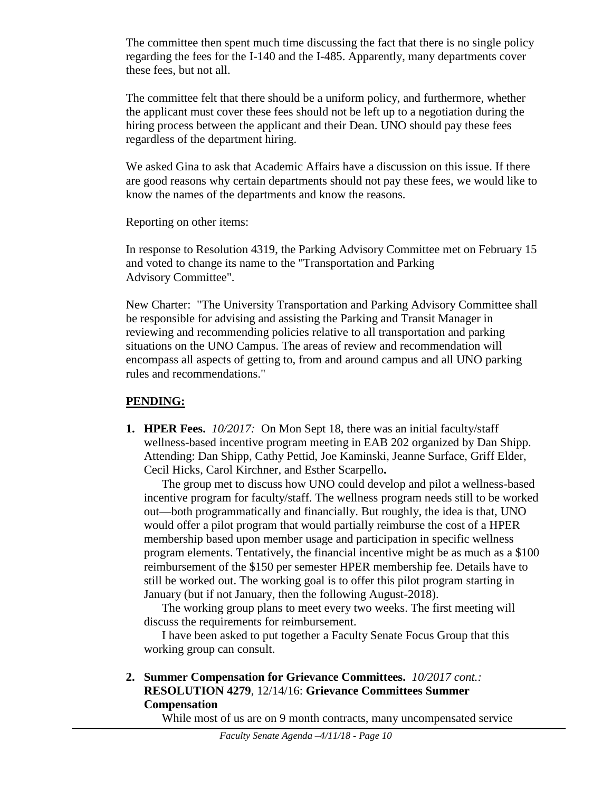The committee then spent much time discussing the fact that there is no single policy regarding the fees for the I-140 and the I-485. Apparently, many departments cover these fees, but not all.

The committee felt that there should be a uniform policy, and furthermore, whether the applicant must cover these fees should not be left up to a negotiation during the hiring process between the applicant and their Dean. UNO should pay these fees regardless of the department hiring.

We asked Gina to ask that Academic Affairs have a discussion on this issue. If there are good reasons why certain departments should not pay these fees, we would like to know the names of the departments and know the reasons.

Reporting on other items:

In response to Resolution 4319, the Parking Advisory Committee met on February 15 and voted to change its name to the "Transportation and Parking Advisory Committee".

New Charter: "The University Transportation and Parking Advisory Committee shall be responsible for advising and assisting the Parking and Transit Manager in reviewing and recommending policies relative to all transportation and parking situations on the UNO Campus. The areas of review and recommendation will encompass all aspects of getting to, from and around campus and all UNO parking rules and recommendations."

# **PENDING:**

**1. HPER Fees.** *10/2017:*On Mon Sept 18, there was an initial faculty/staff wellness-based incentive program meeting in EAB 202 organized by Dan Shipp. Attending: Dan Shipp, Cathy Pettid, Joe Kaminski, Jeanne Surface, Griff Elder, Cecil Hicks, Carol Kirchner, and Esther Scarpello**.**

The group met to discuss how UNO could develop and pilot a wellness-based incentive program for faculty/staff. The wellness program needs still to be worked out—both programmatically and financially. But roughly, the idea is that, UNO would offer a pilot program that would partially reimburse the cost of a HPER membership based upon member usage and participation in specific wellness program elements. Tentatively, the financial incentive might be as much as a \$100 reimbursement of the \$150 per semester HPER membership fee. Details have to still be worked out. The working goal is to offer this pilot program starting in January (but if not January, then the following August-2018).

The working group plans to meet every two weeks. The first meeting will discuss the requirements for reimbursement.

I have been asked to put together a Faculty Senate Focus Group that this working group can consult.

**2. Summer Compensation for Grievance Committees.** *10/2017 cont.:* **RESOLUTION 4279**, 12/14/16: **Grievance Committees Summer Compensation**

While most of us are on 9 month contracts, many uncompensated service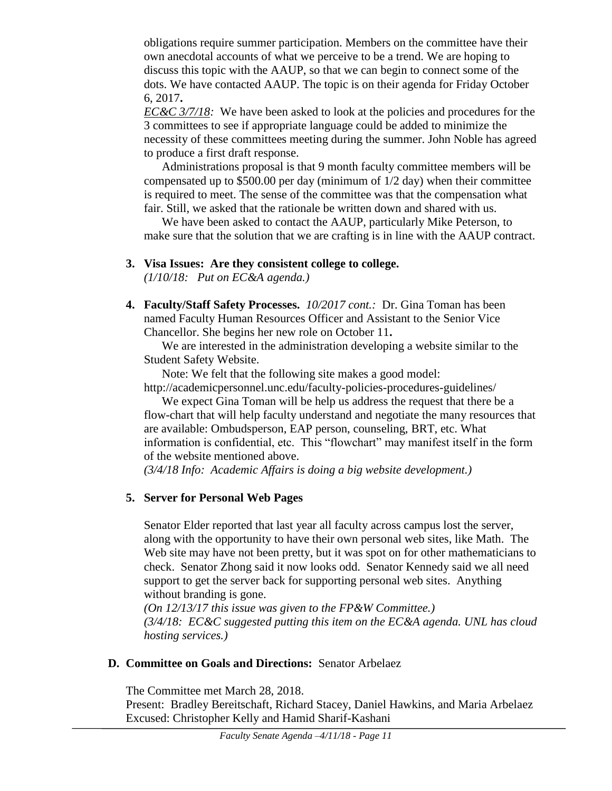obligations require summer participation. Members on the committee have their own anecdotal accounts of what we perceive to be a trend. We are hoping to discuss this topic with the AAUP, so that we can begin to connect some of the dots. We have contacted AAUP. The topic is on their agenda for Friday October 6, 2017**.**

*EC&C 3/7/18:* We have been asked to look at the policies and procedures for the 3 committees to see if appropriate language could be added to minimize the necessity of these committees meeting during the summer. John Noble has agreed to produce a first draft response.

Administrations proposal is that 9 month faculty committee members will be compensated up to \$500.00 per day (minimum of 1/2 day) when their committee is required to meet. The sense of the committee was that the compensation what fair. Still, we asked that the rationale be written down and shared with us.

We have been asked to contact the AAUP, particularly Mike Peterson, to make sure that the solution that we are crafting is in line with the AAUP contract.

**3. Visa Issues: Are they consistent college to college.**

*(1/10/18: Put on EC&A agenda.)*

**4. Faculty/Staff Safety Processes.** *10/2017 cont.:* Dr. Gina Toman has been named Faculty Human Resources Officer and Assistant to the Senior Vice Chancellor. She begins her new role on October 11**.**

We are interested in the administration developing a website similar to the Student Safety Website.

Note: We felt that the following site makes a good model:

http://academicpersonnel.unc.edu/faculty-policies-procedures-guidelines/

We expect Gina Toman will be help us address the request that there be a flow-chart that will help faculty understand and negotiate the many resources that are available: Ombudsperson, EAP person, counseling, BRT, etc. What information is confidential, etc. This "flowchart" may manifest itself in the form of the website mentioned above.

*(3/4/18 Info: Academic Affairs is doing a big website development.)*

# **5. Server for Personal Web Pages**

Senator Elder reported that last year all faculty across campus lost the server, along with the opportunity to have their own personal web sites, like Math. The Web site may have not been pretty, but it was spot on for other mathematicians to check. Senator Zhong said it now looks odd. Senator Kennedy said we all need support to get the server back for supporting personal web sites. Anything without branding is gone.

*(On 12/13/17 this issue was given to the FP&W Committee.) (3/4/18: EC&C suggested putting this item on the EC&A agenda. UNL has cloud hosting services.)*

# **D. Committee on Goals and Directions:** Senator Arbelaez

The Committee met March 28, 2018. Present: Bradley Bereitschaft, Richard Stacey, Daniel Hawkins, and Maria Arbelaez Excused: Christopher Kelly and Hamid Sharif-Kashani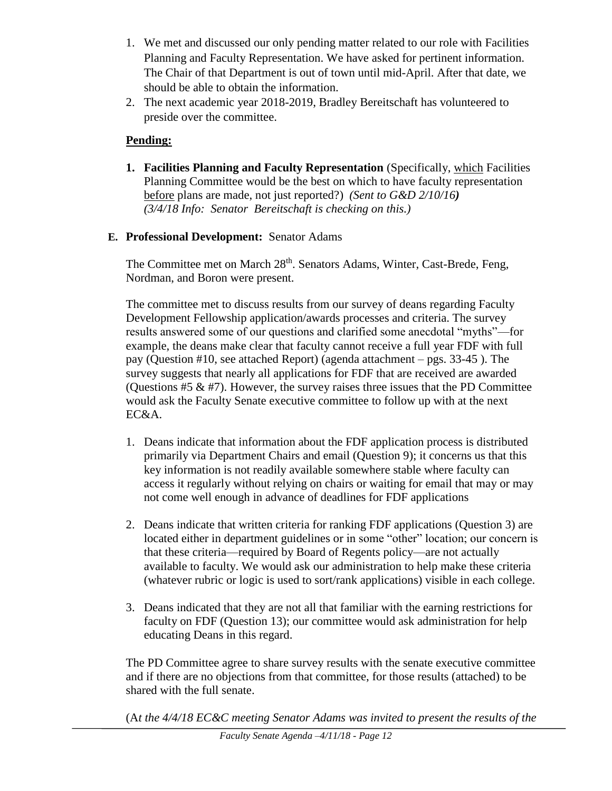- 1. We met and discussed our only pending matter related to our role with Facilities Planning and Faculty Representation. We have asked for pertinent information. The Chair of that Department is out of town until mid-April. After that date, we should be able to obtain the information.
- 2. The next academic year 2018-2019, Bradley Bereitschaft has volunteered to preside over the committee.

# **Pending:**

- **1. Facilities Planning and Faculty Representation** (Specifically, which Facilities Planning Committee would be the best on which to have faculty representation before plans are made, not just reported?) *(Sent to G&D 2/10/16) (3/4/18 Info: Senator Bereitschaft is checking on this.)*
- **E. Professional Development:** Senator Adams

The Committee met on March 28<sup>th</sup>. Senators Adams, Winter, Cast-Brede, Feng, Nordman, and Boron were present.

The committee met to discuss results from our survey of deans regarding Faculty Development Fellowship application/awards processes and criteria. The survey results answered some of our questions and clarified some anecdotal "myths"—for example, the deans make clear that faculty cannot receive a full year FDF with full pay (Question #10, see attached Report) (agenda attachment – pgs. 33-45 ). The survey suggests that nearly all applications for FDF that are received are awarded (Ouestions  $#5 \& #7$ ). However, the survey raises three issues that the PD Committee would ask the Faculty Senate executive committee to follow up with at the next EC&A.

- 1. Deans indicate that information about the FDF application process is distributed primarily via Department Chairs and email (Question 9); it concerns us that this key information is not readily available somewhere stable where faculty can access it regularly without relying on chairs or waiting for email that may or may not come well enough in advance of deadlines for FDF applications
- 2. Deans indicate that written criteria for ranking FDF applications (Question 3) are located either in department guidelines or in some "other" location; our concern is that these criteria—required by Board of Regents policy—are not actually available to faculty. We would ask our administration to help make these criteria (whatever rubric or logic is used to sort/rank applications) visible in each college.
- 3. Deans indicated that they are not all that familiar with the earning restrictions for faculty on FDF (Question 13); our committee would ask administration for help educating Deans in this regard.

The PD Committee agree to share survey results with the senate executive committee and if there are no objections from that committee, for those results (attached) to be shared with the full senate.

(A*t the 4/4/18 EC&C meeting Senator Adams was invited to present the results of the*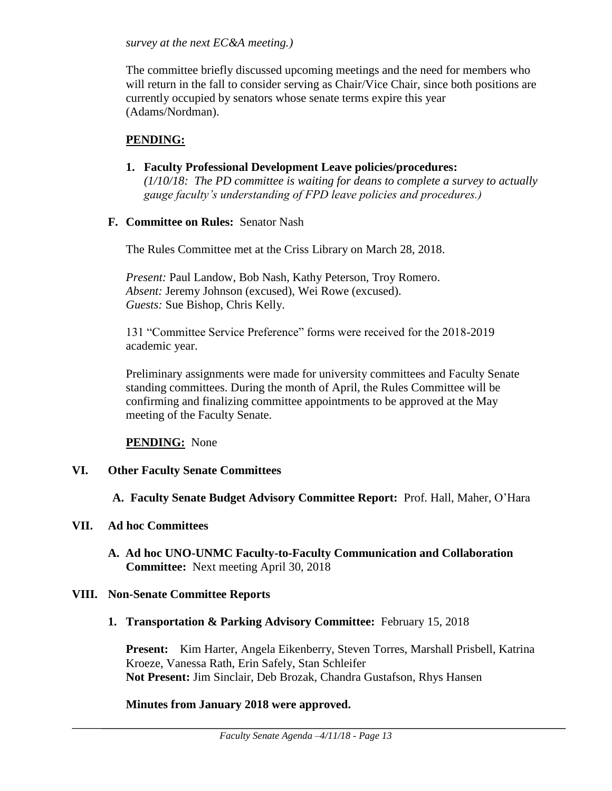*survey at the next EC&A meeting.)* 

The committee briefly discussed upcoming meetings and the need for members who will return in the fall to consider serving as Chair/Vice Chair, since both positions are currently occupied by senators whose senate terms expire this year (Adams/Nordman).

#### **PENDING:**

**1. Faculty Professional Development Leave policies/procedures:**  *(1/10/18: The PD committee is waiting for deans to complete a survey to actually gauge faculty's understanding of FPD leave policies and procedures.)*

#### **F. Committee on Rules:** Senator Nash

The Rules Committee met at the Criss Library on March 28, 2018.

*Present:* Paul Landow, Bob Nash, Kathy Peterson, Troy Romero. *Absent:* Jeremy Johnson (excused), Wei Rowe (excused). *Guests:* Sue Bishop, Chris Kelly.

131 "Committee Service Preference" forms were received for the 2018-2019 academic year.

Preliminary assignments were made for university committees and Faculty Senate standing committees. During the month of April, the Rules Committee will be confirming and finalizing committee appointments to be approved at the May meeting of the Faculty Senate.

**PENDING:** None

#### **VI. Other Faculty Senate Committees**

**A. Faculty Senate Budget Advisory Committee Report:** Prof. Hall, Maher, O'Hara

#### **VII. Ad hoc Committees**

**A. Ad hoc UNO-UNMC Faculty-to-Faculty Communication and Collaboration Committee:** Next meeting April 30, 2018

#### **VIII. Non-Senate Committee Reports**

**1. Transportation & Parking Advisory Committee:** February 15, 2018

**Present:** Kim Harter, Angela Eikenberry, Steven Torres, Marshall Prisbell, Katrina Kroeze, Vanessa Rath, Erin Safely, Stan Schleifer **Not Present:** Jim Sinclair, Deb Brozak, Chandra Gustafson, Rhys Hansen

#### **Minutes from January 2018 were approved.**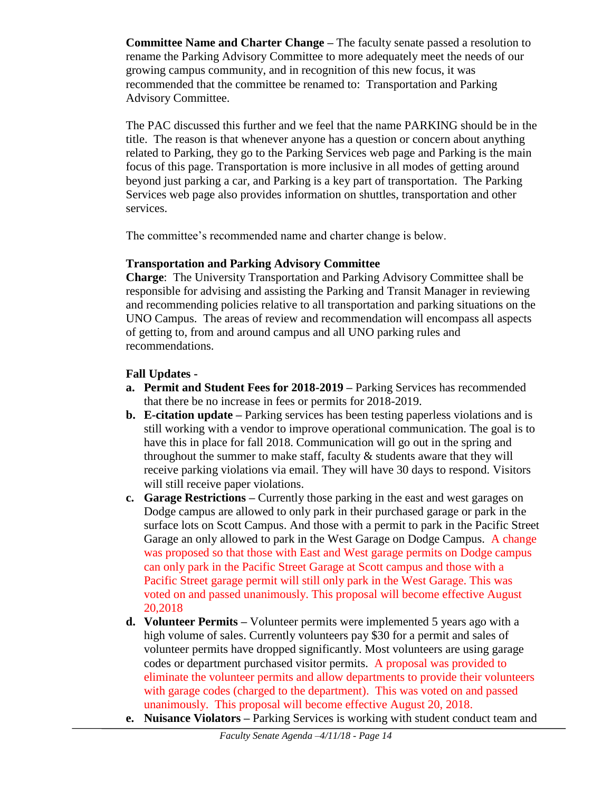**Committee Name and Charter Change –** The faculty senate passed a resolution to rename the Parking Advisory Committee to more adequately meet the needs of our growing campus community, and in recognition of this new focus, it was recommended that the committee be renamed to: Transportation and Parking Advisory Committee.

The PAC discussed this further and we feel that the name PARKING should be in the title. The reason is that whenever anyone has a question or concern about anything related to Parking, they go to the Parking Services web page and Parking is the main focus of this page. Transportation is more inclusive in all modes of getting around beyond just parking a car, and Parking is a key part of transportation. The Parking Services web page also provides information on shuttles, transportation and other services.

The committee's recommended name and charter change is below.

# **Transportation and Parking Advisory Committee**

**Charge**: The University Transportation and Parking Advisory Committee shall be responsible for advising and assisting the Parking and Transit Manager in reviewing and recommending policies relative to all transportation and parking situations on the UNO Campus. The areas of review and recommendation will encompass all aspects of getting to, from and around campus and all UNO parking rules and recommendations.

# **Fall Updates -**

- **a. Permit and Student Fees for 2018-2019 –** Parking Services has recommended that there be no increase in fees or permits for 2018-2019.
- **b. E-citation update –** Parking services has been testing paperless violations and is still working with a vendor to improve operational communication. The goal is to have this in place for fall 2018. Communication will go out in the spring and throughout the summer to make staff, faculty  $&$  students aware that they will receive parking violations via email. They will have 30 days to respond. Visitors will still receive paper violations.
- **c. Garage Restrictions –** Currently those parking in the east and west garages on Dodge campus are allowed to only park in their purchased garage or park in the surface lots on Scott Campus. And those with a permit to park in the Pacific Street Garage an only allowed to park in the West Garage on Dodge Campus. A change was proposed so that those with East and West garage permits on Dodge campus can only park in the Pacific Street Garage at Scott campus and those with a Pacific Street garage permit will still only park in the West Garage. This was voted on and passed unanimously. This proposal will become effective August 20,2018
- **d. Volunteer Permits –** Volunteer permits were implemented 5 years ago with a high volume of sales. Currently volunteers pay \$30 for a permit and sales of volunteer permits have dropped significantly. Most volunteers are using garage codes or department purchased visitor permits. A proposal was provided to eliminate the volunteer permits and allow departments to provide their volunteers with garage codes (charged to the department). This was voted on and passed unanimously. This proposal will become effective August 20, 2018.
- **e. Nuisance Violators –** Parking Services is working with student conduct team and